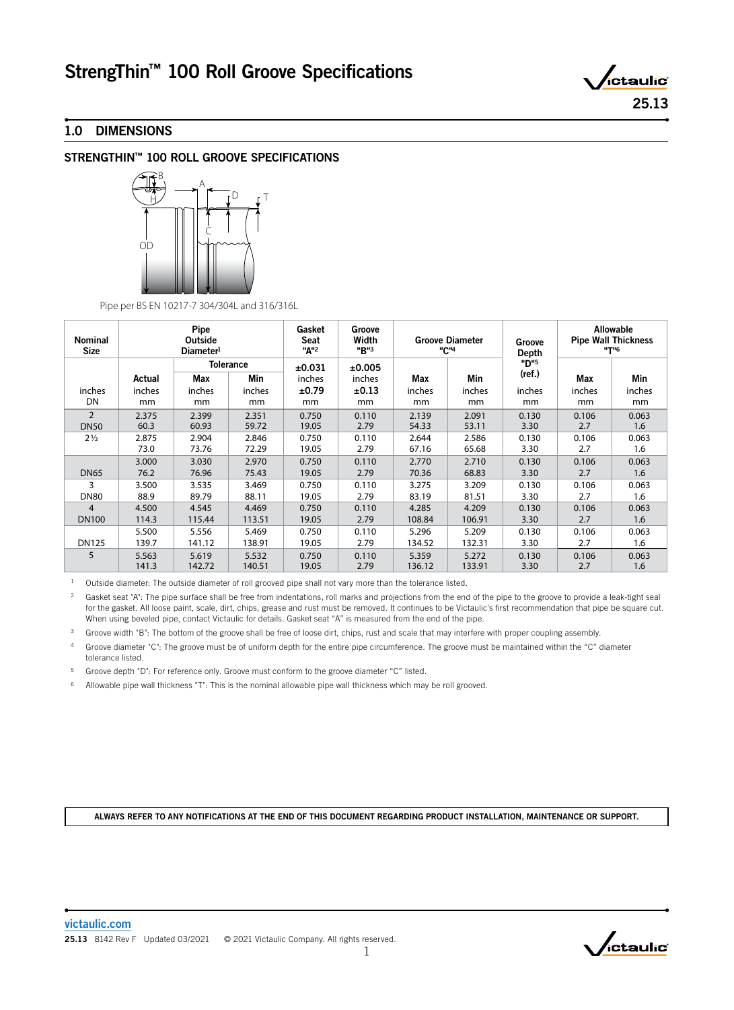# StrengThin™ 100 Roll Groove Specifications

# 1.0 DIMENSIONS

# STRENGTHIN™ 100 ROLL GROOVE SPECIFICATIONS



Pipe per BS EN 10217-7 304/304L and 316/316L

| <b>Nominal</b><br><b>Size</b> | Pipe<br>Outside<br>Diameter <sup>1</sup> |                                       |        | Gasket<br>Seat<br>"A" <sup>2</sup> | Groove<br>Width<br>"B"3 | <b>Groove Diameter</b><br>"C" <sup>4</sup> |        | Groove<br>Depth | <b>Allowable</b><br><b>Pipe Wall Thickness</b><br><b>"T"6</b> |        |
|-------------------------------|------------------------------------------|---------------------------------------|--------|------------------------------------|-------------------------|--------------------------------------------|--------|-----------------|---------------------------------------------------------------|--------|
|                               | Actual                                   | <b>Tolerance</b><br><b>Min</b><br>Max |        | ±0.031<br>inches                   | ±0.005<br>inches        | Max                                        | Min    | "D"5<br>(ref.)  | <b>Max</b>                                                    | Min    |
| inches                        | inches                                   | inches                                | inches | ±0.79                              | ±0.13                   | inches                                     | inches | inches          | inches                                                        | inches |
| DN                            | mm                                       | mm                                    | mm     | mm                                 | mm                      | mm                                         | mm     | mm              | mm                                                            | mm     |
| $\overline{2}$                | 2.375                                    | 2.399                                 | 2.351  | 0.750                              | 0.110                   | 2.139                                      | 2.091  | 0.130           | 0.106                                                         | 0.063  |
| <b>DN50</b>                   | 60.3                                     | 60.93                                 | 59.72  | 19.05                              | 2.79                    | 54.33                                      | 53.11  | 3.30            | 2.7                                                           | 1.6    |
| $2\frac{1}{2}$                | 2.875                                    | 2.904                                 | 2.846  | 0.750                              | 0.110                   | 2.644                                      | 2.586  | 0.130           | 0.106                                                         | 0.063  |
|                               | 73.0                                     | 73.76                                 | 72.29  | 19.05                              | 2.79                    | 67.16                                      | 65.68  | 3.30            | 2.7                                                           | 1.6    |
| <b>DN65</b>                   | 3.000                                    | 3.030                                 | 2.970  | 0.750                              | 0.110                   | 2.770                                      | 2.710  | 0.130           | 0.106                                                         | 0.063  |
|                               | 76.2                                     | 76.96                                 | 75.43  | 19.05                              | 2.79                    | 70.36                                      | 68.83  | 3.30            | 2.7                                                           | 1.6    |
| 3                             | 3.500                                    | 3.535                                 | 3.469  | 0.750                              | 0.110                   | 3.275                                      | 3.209  | 0.130           | 0.106                                                         | 0.063  |
| <b>DN80</b>                   | 88.9                                     | 89.79                                 | 88.11  | 19.05                              | 2.79                    | 83.19                                      | 81.51  | 3.30            | 2.7                                                           | 1.6    |
| $\overline{4}$                | 4.500                                    | 4.545                                 | 4.469  | 0.750                              | 0.110                   | 4.285                                      | 4.209  | 0.130           | 0.106                                                         | 0.063  |
| <b>DN100</b>                  | 114.3                                    | 115.44                                | 113.51 | 19.05                              | 2.79                    | 108.84                                     | 106.91 | 3.30            | 2.7                                                           | 1.6    |
| <b>DN125</b>                  | 5.500                                    | 5.556                                 | 5.469  | 0.750                              | 0.110                   | 5.296                                      | 5.209  | 0.130           | 0.106                                                         | 0.063  |
|                               | 139.7                                    | 141.12                                | 138.91 | 19.05                              | 2.79                    | 134.52                                     | 132.31 | 3.30            | 2.7                                                           | 1.6    |
| 5                             | 5.563                                    | 5.619                                 | 5.532  | 0.750                              | 0.110                   | 5.359                                      | 5.272  | 0.130           | 0.106                                                         | 0.063  |
|                               | 141.3                                    | 142.72                                | 140.51 | 19.05                              | 2.79                    | 136.12                                     | 133.91 | 3.30            | 2.7                                                           | 1.6    |

<sup>1</sup> Outside diameter: The outside diameter of roll grooved pipe shall not vary more than the tolerance listed.

<sup>2</sup> Gasket seat "A": The pipe surface shall be free from indentations, roll marks and projections from the end of the pipe to the groove to provide a leak-tight seal for the gasket. All loose paint, scale, dirt, chips, grease and rust must be removed. It continues to be Victaulic's first recommendation that pipe be square cut. When using beveled pipe, contact Victaulic for details. Gasket seat "A" is measured from the end of the pipe.

<sup>3</sup> Groove width "B": The bottom of the groove shall be free of loose dirt, chips, rust and scale that may interfere with proper coupling assembly.

4 Groove diameter "C": The groove must be of uniform depth for the entire pipe circumference. The groove must be maintained within the "C" diameter tolerance listed.

5 Groove depth "D": For reference only. Groove must conform to the groove diameter "C" listed.

6 Allowable pipe wall thickness "T": This is the nominal allowable pipe wall thickness which may be roll grooved.

ALWAYS REFER TO ANY NOTIFICATIONS AT THE END OF THIS DOCUMENT REGARDING PRODUCT INSTALLATION, MAINTENANCE OR SUPPORT.

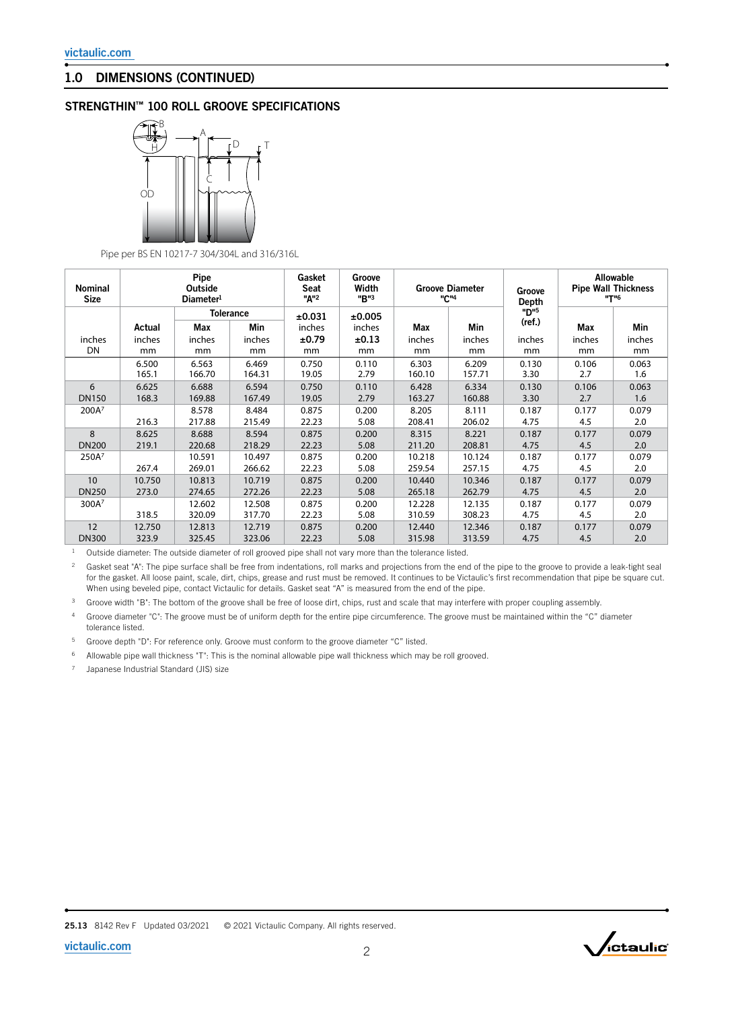### 1.0 DIMENSIONS (CONTINUED)

## STRENGTHIN™ 100 ROLL GROOVE SPECIFICATIONS



Pipe per BS EN 10217-7 304/304L and 316/316L

| <b>Nominal</b><br><b>Size</b> | Pipe<br>Outside<br>Diameter <sup>1</sup> |        |                                | Gasket<br>Seat<br>"A" <sup>2</sup> | Groove<br>Width<br>"B"3 | <b>Groove Diameter</b><br>"C" <sup>4</sup> |        | Groove<br>Depth | <b>Allowable</b><br><b>Pipe Wall Thickness</b><br><b>"T"6</b> |        |
|-------------------------------|------------------------------------------|--------|--------------------------------|------------------------------------|-------------------------|--------------------------------------------|--------|-----------------|---------------------------------------------------------------|--------|
|                               | Actual                                   | Max    | <b>Tolerance</b><br><b>Min</b> | ±0.031<br>inches                   | ±0.005<br>inches        | Max                                        | Min    | "פית<br>(ref.)  | <b>Max</b>                                                    | Min    |
| inches                        | inches                                   | inches | inches                         | ±0.79                              | ±0.13                   | inches                                     | inches | inches          | inches                                                        | inches |
| DN                            | mm                                       | mm     | mm                             | mm                                 | mm                      | mm                                         | mm     | mm              | mm                                                            | mm     |
|                               | 6.500                                    | 6.563  | 6.469                          | 0.750                              | 0.110                   | 6.303                                      | 6.209  | 0.130           | 0.106                                                         | 0.063  |
|                               | 165.1                                    | 166.70 | 164.31                         | 19.05                              | 2.79                    | 160.10                                     | 157.71 | 3.30            | 2.7                                                           | 1.6    |
| 6                             | 6.625                                    | 6.688  | 6.594                          | 0.750                              | 0.110                   | 6.428                                      | 6.334  | 0.130           | 0.106                                                         | 0.063  |
| <b>DN150</b>                  | 168.3                                    | 169.88 | 167.49                         | 19.05                              | 2.79                    | 163.27                                     | 160.88 | 3.30            | 2.7                                                           | 1.6    |
| 200A <sup>7</sup>             |                                          | 8.578  | 8.484                          | 0.875                              | 0.200                   | 8.205                                      | 8.111  | 0.187           | 0.177                                                         | 0.079  |
|                               | 216.3                                    | 217.88 | 215.49                         | 22.23                              | 5.08                    | 208.41                                     | 206.02 | 4.75            | 4.5                                                           | 2.0    |
| 8                             | 8.625                                    | 8.688  | 8.594                          | 0.875                              | 0.200                   | 8.315                                      | 8.221  | 0.187           | 0.177                                                         | 0.079  |
| <b>DN200</b>                  | 219.1                                    | 220.68 | 218.29                         | 22.23                              | 5.08                    | 211.20                                     | 208.81 | 4.75            | 4.5                                                           | 2.0    |
| 250A <sup>7</sup>             |                                          | 10.591 | 10.497                         | 0.875                              | 0.200                   | 10.218                                     | 10.124 | 0.187           | 0.177                                                         | 0.079  |
|                               | 267.4                                    | 269.01 | 266.62                         | 22.23                              | 5.08                    | 259.54                                     | 257.15 | 4.75            | 4.5                                                           | 2.0    |
| 10                            | 10.750                                   | 10.813 | 10.719                         | 0.875                              | 0.200                   | 10.440                                     | 10.346 | 0.187           | 0.177                                                         | 0.079  |
| <b>DN250</b>                  | 273.0                                    | 274.65 | 272.26                         | 22.23                              | 5.08                    | 265.18                                     | 262.79 | 4.75            | 4.5                                                           | 2.0    |
| 300A <sup>7</sup>             |                                          | 12.602 | 12.508                         | 0.875                              | 0.200                   | 12.228                                     | 12.135 | 0.187           | 0.177                                                         | 0.079  |
|                               | 318.5                                    | 320.09 | 317.70                         | 22.23                              | 5.08                    | 310.59                                     | 308.23 | 4.75            | 4.5                                                           | 2.0    |
| 12                            | 12.750                                   | 12.813 | 12.719                         | 0.875                              | 0.200                   | 12.440                                     | 12.346 | 0.187           | 0.177                                                         | 0.079  |
| <b>DN300</b>                  | 323.9                                    | 325.45 | 323.06                         | 22.23                              | 5.08                    | 315.98                                     | 313.59 | 4.75            | 4.5                                                           | 2.0    |

<sup>1</sup> Outside diameter: The outside diameter of roll grooved pipe shall not vary more than the tolerance listed.

<sup>2</sup> Gasket seat "A": The pipe surface shall be free from indentations, roll marks and projections from the end of the pipe to the groove to provide a leak-tight seal for the gasket. All loose paint, scale, dirt, chips, grease and rust must be removed. It continues to be Victaulic's first recommendation that pipe be square cut. When using beveled pipe, contact Victaulic for details. Gasket seat "A" is measured from the end of the pipe.

<sup>3</sup> Groove width "B": The bottom of the groove shall be free of loose dirt, chips, rust and scale that may interfere with proper coupling assembly.

4 Groove diameter "C": The groove must be of uniform depth for the entire pipe circumference. The groove must be maintained within the "C" diameter tolerance listed.

5 Groove depth "D": For reference only. Groove must conform to the groove diameter "C" listed.

6 Allowable pipe wall thickness "T": This is the nominal allowable pipe wall thickness which may be roll grooved.

7 Japanese Industrial Standard (JIS) size

25.13 8142 Rev F Updated 03/2021 © 2021 Victaulic Company. All rights reserved.